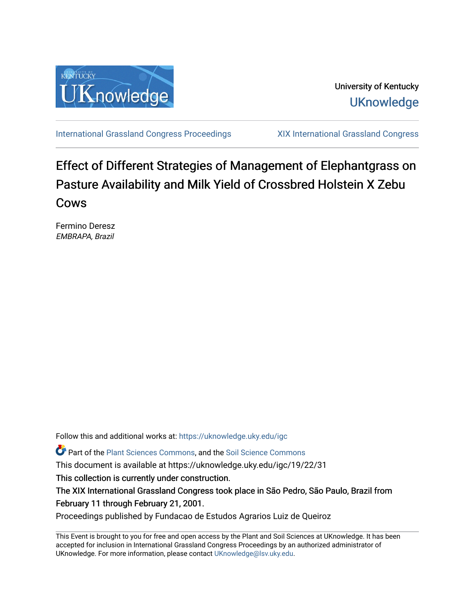

University of Kentucky **UKnowledge** 

[International Grassland Congress Proceedings](https://uknowledge.uky.edu/igc) [XIX International Grassland Congress](https://uknowledge.uky.edu/igc/19) 

## Effect of Different Strategies of Management of Elephantgrass on Pasture Availability and Milk Yield of Crossbred Holstein X Zebu Cows

Fermino Deresz EMBRAPA, Brazil

Follow this and additional works at: [https://uknowledge.uky.edu/igc](https://uknowledge.uky.edu/igc?utm_source=uknowledge.uky.edu%2Figc%2F19%2F22%2F31&utm_medium=PDF&utm_campaign=PDFCoverPages) 

Part of the [Plant Sciences Commons](http://network.bepress.com/hgg/discipline/102?utm_source=uknowledge.uky.edu%2Figc%2F19%2F22%2F31&utm_medium=PDF&utm_campaign=PDFCoverPages), and the [Soil Science Commons](http://network.bepress.com/hgg/discipline/163?utm_source=uknowledge.uky.edu%2Figc%2F19%2F22%2F31&utm_medium=PDF&utm_campaign=PDFCoverPages) 

This document is available at https://uknowledge.uky.edu/igc/19/22/31

This collection is currently under construction.

The XIX International Grassland Congress took place in São Pedro, São Paulo, Brazil from February 11 through February 21, 2001.

Proceedings published by Fundacao de Estudos Agrarios Luiz de Queiroz

This Event is brought to you for free and open access by the Plant and Soil Sciences at UKnowledge. It has been accepted for inclusion in International Grassland Congress Proceedings by an authorized administrator of UKnowledge. For more information, please contact [UKnowledge@lsv.uky.edu](mailto:UKnowledge@lsv.uky.edu).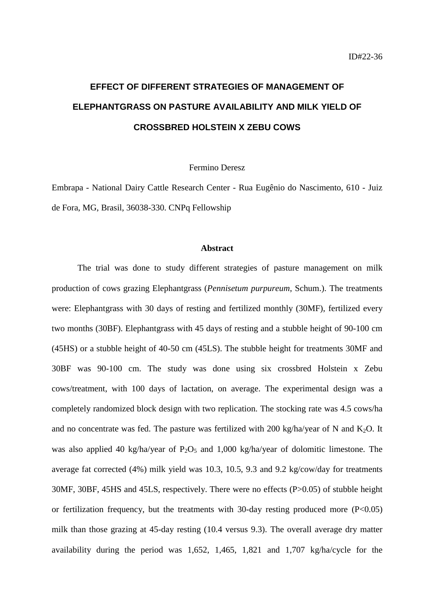# **EFFECT OF DIFFERENT STRATEGIES OF MANAGEMENT OF ELEPHANTGRASS ON PASTURE AVAILABILITY AND MILK YIELD OF CROSSBRED HOLSTEIN X ZEBU COWS**

Fermino Deresz

Embrapa - National Dairy Cattle Research Center - Rua Eugênio do Nascimento, 610 - Juiz de Fora, MG, Brasil, 36038-330. CNPq Fellowship

#### **Abstract**

The trial was done to study different strategies of pasture management on milk production of cows grazing Elephantgrass (*Pennisetum purpureum*, Schum.). The treatments were: Elephantgrass with 30 days of resting and fertilized monthly (30MF), fertilized every two months (30BF). Elephantgrass with 45 days of resting and a stubble height of 90-100 cm (45HS) or a stubble height of 40-50 cm (45LS). The stubble height for treatments 30MF and 30BF was 90-100 cm. The study was done using six crossbred Holstein x Zebu cows/treatment, with 100 days of lactation, on average. The experimental design was a completely randomized block design with two replication. The stocking rate was 4.5 cows/ha and no concentrate was fed. The pasture was fertilized with 200 kg/ha/year of N and K<sub>2</sub>O. It was also applied 40 kg/ha/year of  $P_2O_5$  and 1,000 kg/ha/year of dolomitic limestone. The average fat corrected (4%) milk yield was 10.3, 10.5, 9.3 and 9.2 kg/cow/day for treatments 30MF, 30BF, 45HS and 45LS, respectively. There were no effects (P>0.05) of stubble height or fertilization frequency, but the treatments with 30-day resting produced more  $(P<0.05)$ milk than those grazing at 45-day resting (10.4 versus 9.3). The overall average dry matter availability during the period was 1,652, 1,465, 1,821 and 1,707 kg/ha/cycle for the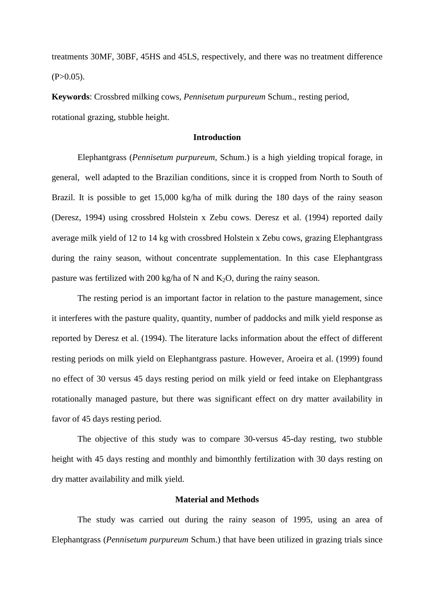treatments 30MF, 30BF, 45HS and 45LS, respectively, and there was no treatment difference  $(P>0.05)$ .

**Keywords**: Crossbred milking cows, *Pennisetum purpureum* Schum., resting period, rotational grazing, stubble height.

### **Introduction**

Elephantgrass (*Pennisetum purpureum*, Schum.) is a high yielding tropical forage, in general, well adapted to the Brazilian conditions, since it is cropped from North to South of Brazil. It is possible to get 15,000 kg/ha of milk during the 180 days of the rainy season (Deresz, 1994) using crossbred Holstein x Zebu cows. Deresz et al. (1994) reported daily average milk yield of 12 to 14 kg with crossbred Holstein x Zebu cows, grazing Elephantgrass during the rainy season, without concentrate supplementation. In this case Elephantgrass pasture was fertilized with 200 kg/ha of N and  $K_2O$ , during the rainy season.

The resting period is an important factor in relation to the pasture management, since it interferes with the pasture quality, quantity, number of paddocks and milk yield response as reported by Deresz et al. (1994). The literature lacks information about the effect of different resting periods on milk yield on Elephantgrass pasture. However, Aroeira et al. (1999) found no effect of 30 versus 45 days resting period on milk yield or feed intake on Elephantgrass rotationally managed pasture, but there was significant effect on dry matter availability in favor of 45 days resting period.

The objective of this study was to compare 30-versus 45-day resting, two stubble height with 45 days resting and monthly and bimonthly fertilization with 30 days resting on dry matter availability and milk yield.

#### **Material and Methods**

The study was carried out during the rainy season of 1995, using an area of Elephantgrass (*Pennisetum purpureum* Schum.) that have been utilized in grazing trials since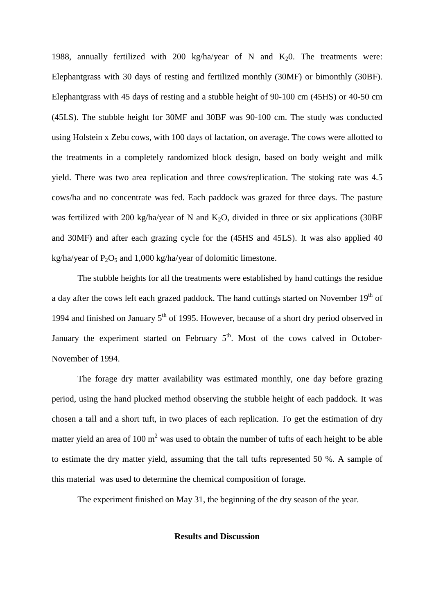1988, annually fertilized with 200 kg/ha/year of N and  $K_2$ 0. The treatments were: Elephantgrass with 30 days of resting and fertilized monthly (30MF) or bimonthly (30BF). Elephantgrass with 45 days of resting and a stubble height of 90-100 cm (45HS) or 40-50 cm (45LS). The stubble height for 30MF and 30BF was 90-100 cm. The study was conducted using Holstein x Zebu cows, with 100 days of lactation, on average. The cows were allotted to the treatments in a completely randomized block design, based on body weight and milk yield. There was two area replication and three cows/replication. The stoking rate was 4.5 cows/ha and no concentrate was fed. Each paddock was grazed for three days. The pasture was fertilized with 200 kg/ha/year of N and  $K_2O$ , divided in three or six applications (30BF and 30MF) and after each grazing cycle for the (45HS and 45LS). It was also applied 40 kg/ha/year of  $P_2O_5$  and 1,000 kg/ha/year of dolomitic limestone.

The stubble heights for all the treatments were established by hand cuttings the residue a day after the cows left each grazed paddock. The hand cuttings started on November 19<sup>th</sup> of 1994 and finished on January  $5<sup>th</sup>$  of 1995. However, because of a short dry period observed in January the experiment started on February  $5<sup>th</sup>$ . Most of the cows calved in October-November of 1994.

The forage dry matter availability was estimated monthly, one day before grazing period, using the hand plucked method observing the stubble height of each paddock. It was chosen a tall and a short tuft, in two places of each replication. To get the estimation of dry matter yield an area of 100 m<sup>2</sup> was used to obtain the number of tufts of each height to be able to estimate the dry matter yield, assuming that the tall tufts represented 50 %. A sample of this material was used to determine the chemical composition of forage.

The experiment finished on May 31, the beginning of the dry season of the year.

**Results and Discussion**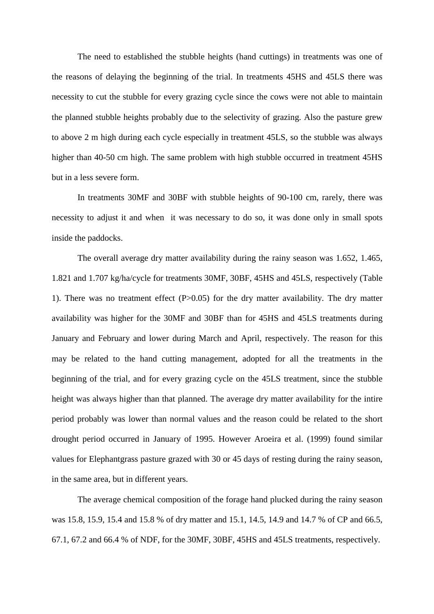The need to established the stubble heights (hand cuttings) in treatments was one of the reasons of delaying the beginning of the trial. In treatments 45HS and 45LS there was necessity to cut the stubble for every grazing cycle since the cows were not able to maintain the planned stubble heights probably due to the selectivity of grazing. Also the pasture grew to above 2 m high during each cycle especially in treatment 45LS, so the stubble was always higher than 40-50 cm high. The same problem with high stubble occurred in treatment 45HS but in a less severe form.

In treatments 30MF and 30BF with stubble heights of 90-100 cm, rarely, there was necessity to adjust it and when it was necessary to do so, it was done only in small spots inside the paddocks.

The overall average dry matter availability during the rainy season was 1.652, 1.465, 1.821 and 1.707 kg/ha/cycle for treatments 30MF, 30BF, 45HS and 45LS, respectively (Table 1). There was no treatment effect (P>0.05) for the dry matter availability. The dry matter availability was higher for the 30MF and 30BF than for 45HS and 45LS treatments during January and February and lower during March and April, respectively. The reason for this may be related to the hand cutting management, adopted for all the treatments in the beginning of the trial, and for every grazing cycle on the 45LS treatment, since the stubble height was always higher than that planned. The average dry matter availability for the intire period probably was lower than normal values and the reason could be related to the short drought period occurred in January of 1995. However Aroeira et al. (1999) found similar values for Elephantgrass pasture grazed with 30 or 45 days of resting during the rainy season, in the same area, but in different years.

The average chemical composition of the forage hand plucked during the rainy season was 15.8, 15.9, 15.4 and 15.8 % of dry matter and 15.1, 14.5, 14.9 and 14.7 % of CP and 66.5, 67.1, 67.2 and 66.4 % of NDF, for the 30MF, 30BF, 45HS and 45LS treatments, respectively.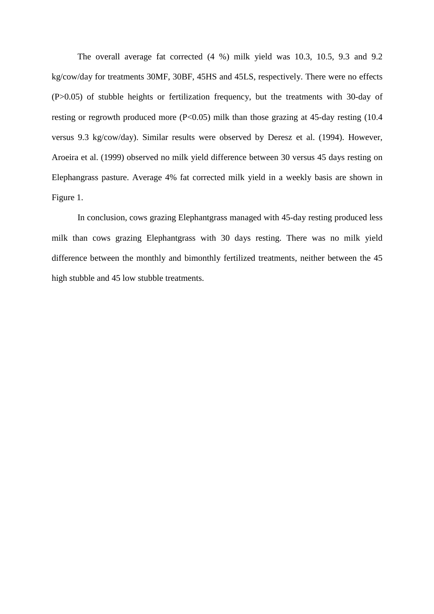The overall average fat corrected (4 %) milk yield was 10.3, 10.5, 9.3 and 9.2 kg/cow/day for treatments 30MF, 30BF, 45HS and 45LS, respectively. There were no effects (P>0.05) of stubble heights or fertilization frequency, but the treatments with 30-day of resting or regrowth produced more (P<0.05) milk than those grazing at 45-day resting (10.4 versus 9.3 kg/cow/day). Similar results were observed by Deresz et al. (1994). However, Aroeira et al. (1999) observed no milk yield difference between 30 versus 45 days resting on Elephangrass pasture. Average 4% fat corrected milk yield in a weekly basis are shown in Figure 1.

In conclusion, cows grazing Elephantgrass managed with 45-day resting produced less milk than cows grazing Elephantgrass with 30 days resting. There was no milk yield difference between the monthly and bimonthly fertilized treatments, neither between the 45 high stubble and 45 low stubble treatments.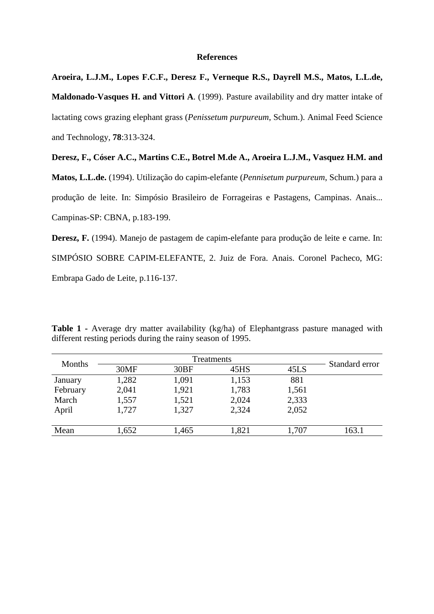### **References**

**Aroeira, L.J.M., Lopes F.C.F., Deresz F., Verneque R.S., Dayrell M.S., Matos, L.L.de, Maldonado-Vasques H. and Vittori A**. (1999). Pasture availability and dry matter intake of lactating cows grazing elephant grass (*Penissetum purpureum*, Schum.). Animal Feed Science and Technology, **78**:313-324.

**Deresz, F., Cóser A.C., Martins C.E., Botrel M.de A., Aroeira L.J.M., Vasquez H.M. and**

**Matos, L.L.de.** (1994). Utilização do capim-elefante (*Pennisetum purpureum*, Schum.) para a produção de leite. In: Simpósio Brasileiro de Forrageiras e Pastagens, Campinas. Anais... Campinas-SP: CBNA, p.183-199.

**Deresz, F.** (1994). Manejo de pastagem de capim-elefante para produção de leite e carne. In: SIMPÓSIO SOBRE CAPIM-ELEFANTE, 2. Juiz de Fora. Anais. Coronel Pacheco, MG: Embrapa Gado de Leite, p.116-137.

| Months   | Treatments |       |       |       | Standard error |
|----------|------------|-------|-------|-------|----------------|
|          | 30MF       | 30BF  | 45HS  | 45LS  |                |
| January  | 1,282      | 1,091 | 1,153 | 881   |                |
| February | 2,041      | 1,921 | 1,783 | 1,561 |                |
| March    | 1,557      | 1,521 | 2,024 | 2,333 |                |
| April    | 1,727      | 1,327 | 2,324 | 2,052 |                |
|          |            |       |       |       |                |
| Mean     | 1,652      | 1,465 | 1,821 | 1,707 | 163.1          |

**Table 1 -** Average dry matter availability (kg/ha) of Elephantgrass pasture managed with different resting periods during the rainy season of 1995.